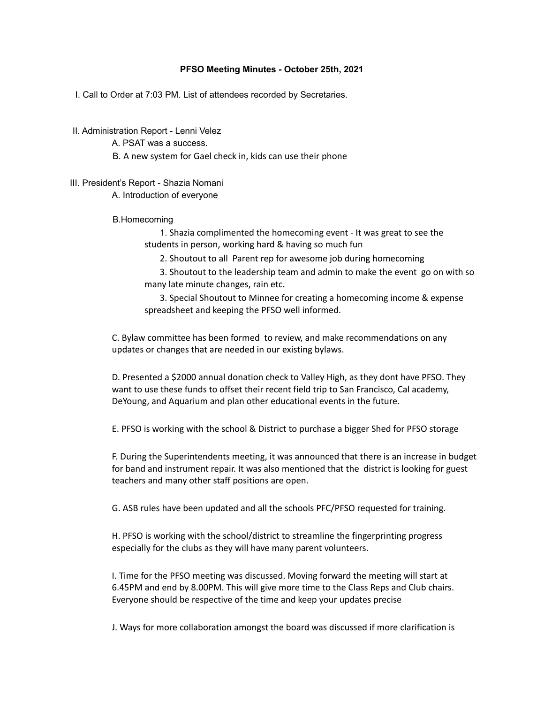#### **PFSO Meeting Minutes - October 25th, 2021**

I. Call to Order at 7:03 PM. List of attendees recorded by Secretaries.

II. Administration Report - Lenni Velez

A. PSAT was a success.

B. A new system for Gael check in, kids can use their phone

# III. President's Report - Shazia Nomani

A. Introduction of everyone

B.Homecoming

1. Shazia complimented the homecoming event - It was great to see the students in person, working hard & having so much fun

2. Shoutout to all Parent rep for awesome job during homecoming

3. Shoutout to the leadership team and admin to make the event go on with so many late minute changes, rain etc.

3. Special Shoutout to Minnee for creating a homecoming income & expense spreadsheet and keeping the PFSO well informed.

C. Bylaw committee has been formed to review, and make recommendations on any updates or changes that are needed in our existing bylaws.

D. Presented a \$2000 annual donation check to Valley High, as they dont have PFSO. They want to use these funds to offset their recent field trip to San Francisco, Cal academy, DeYoung, and Aquarium and plan other educational events in the future.

E. PFSO is working with the school & District to purchase a bigger Shed for PFSO storage

F. During the Superintendents meeting, it was announced that there is an increase in budget for band and instrument repair. It was also mentioned that the district is looking for guest teachers and many other staff positions are open.

G. ASB rules have been updated and all the schools PFC/PFSO requested for training.

H. PFSO is working with the school/district to streamline the fingerprinting progress especially for the clubs as they will have many parent volunteers.

I. Time for the PFSO meeting was discussed. Moving forward the meeting will start at 6.45PM and end by 8.00PM. This will give more time to the Class Reps and Club chairs. Everyone should be respective of the time and keep your updates precise

J. Ways for more collaboration amongst the board was discussed if more clarification is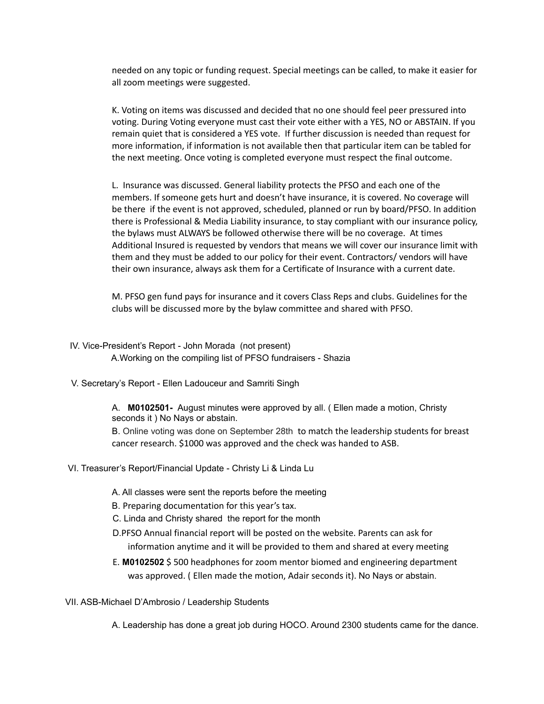needed on any topic or funding request. Special meetings can be called, to make it easier for all zoom meetings were suggested.

K. Voting on items was discussed and decided that no one should feel peer pressured into voting. During Voting everyone must cast their vote either with a YES, NO or ABSTAIN. If you remain quiet that is considered a YES vote. If further discussion is needed than request for more information, if information is not available then that particular item can be tabled for the next meeting. Once voting is completed everyone must respect the final outcome.

L. Insurance was discussed. General liability protects the PFSO and each one of the members. If someone gets hurt and doesn't have insurance, it is covered. No coverage will be there if the event is not approved, scheduled, planned or run by board/PFSO. In addition there is Professional & Media Liability insurance, to stay compliant with our insurance policy, the bylaws must ALWAYS be followed otherwise there will be no coverage. At times Additional Insured is requested by vendors that means we will cover our insurance limit with them and they must be added to our policy for their event. Contractors/ vendors will have their own insurance, always ask them for a Certificate of Insurance with a current date.

M. PFSO gen fund pays for insurance and it covers Class Reps and clubs. Guidelines for the clubs will be discussed more by the bylaw committee and shared with PFSO.

- IV. Vice-President's Report John Morada (not present) A.Working on the compiling list of PFSO fundraisers - Shazia
- V. Secretary's Report Ellen Ladouceur and Samriti Singh

A. **M0102501-** August minutes were approved by all. ( Ellen made a motion, Christy seconds it ) No Nays or abstain.

B. Online voting was done on September 28th to match the leadership students for breast cancer research. \$1000 was approved and the check was handed to ASB.

- VI. Treasurer's Report/Financial Update Christy Li & Linda Lu
	- A. All classes were sent the reports before the meeting
	- B. Preparing documentation for this year's tax.
	- C. Linda and Christy shared the report for the month
	- D.PFSO Annual financial report will be posted on the website. Parents can ask for information anytime and it will be provided to them and shared at every meeting
	- E. **M0102502** \$ 500 headphones for zoom mentor biomed and engineering department was approved. ( Ellen made the motion, Adair seconds it). No Nays or abstain.
- VII. ASB-Michael D'Ambrosio / Leadership Students

A. Leadership has done a great job during HOCO. Around 2300 students came for the dance.